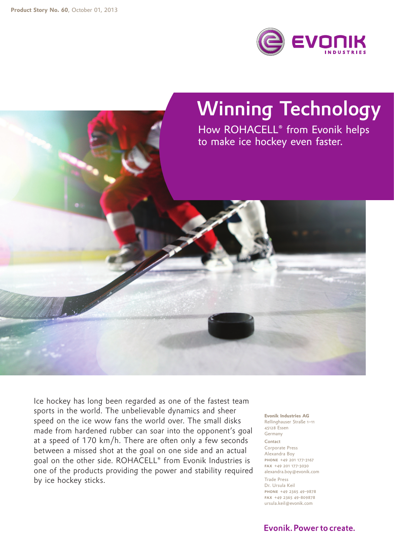

## Winning Technology

How ROHACELL® from Evonik helps to make ice hockey even faster.

Ice hockey has long been regarded as one of the fastest team sports in the world. The unbelievable dynamics and sheer speed on the ice wow fans the world over. The small disks made from hardened rubber can soar into the opponent's goal at a speed of 170 km/h. There are often only a few seconds between a missed shot at the goal on one side and an actual goal on the other side. ROHACELL® from Evonik Industries is one of the products providing the power and stability required by ice hockey sticks.

**Evonik Industries AG** Rellinghauser Straße 1–11 45128 Essen Germany Contact Corporate Press Alexandra Boy phone +49 201 177-3167 fax +49 201 177-3030 alexandra.boy@evonik.com

Trade Press Dr. Ursula Keil phone +49 2365 49-9878 fax +49 2365 49-809878 ursula.keil@evonik.com

## Evonik, Power to create.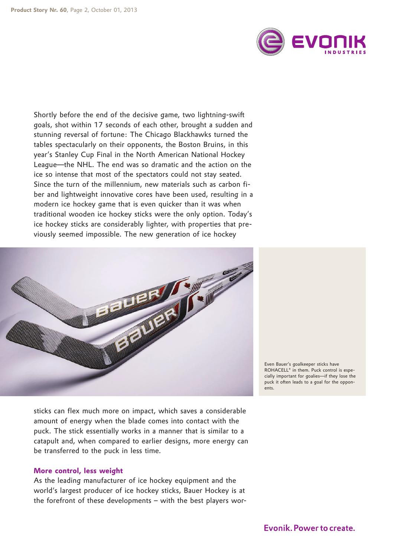

Shortly before the end of the decisive game, two lightning-swift goals, shot within 17 seconds of each other, brought a sudden and stunning reversal of fortune: The Chicago Blackhawks turned the tables spectacularly on their opponents, the Boston Bruins, in this year's Stanley Cup Final in the North American National Hockey League—the NHL. The end was so dramatic and the action on the ice so intense that most of the spectators could not stay seated. Since the turn of the millennium, new materials such as carbon fiber and lightweight innovative cores have been used, resulting in a modern ice hockey game that is even quicker than it was when traditional wooden ice hockey sticks were the only option. Today's ice hockey sticks are considerably lighter, with properties that previously seemed impossible. The new generation of ice hockey



Even Bauer's goalkeeper sticks have ROHACELL® in them. Puck control is especially important for goalies—if they lose the puck it often leads to a goal for the opponents.

sticks can flex much more on impact, which saves a considerable amount of energy when the blade comes into contact with the puck. The stick essentially works in a manner that is similar to a catapult and, when compared to earlier designs, more energy can be transferred to the puck in less time.

## **More control, less weight**

As the leading manufacturer of ice hockey equipment and the world's largest producer of ice hockey sticks, Bauer Hockey is at the forefront of these developments – with the best players wor-